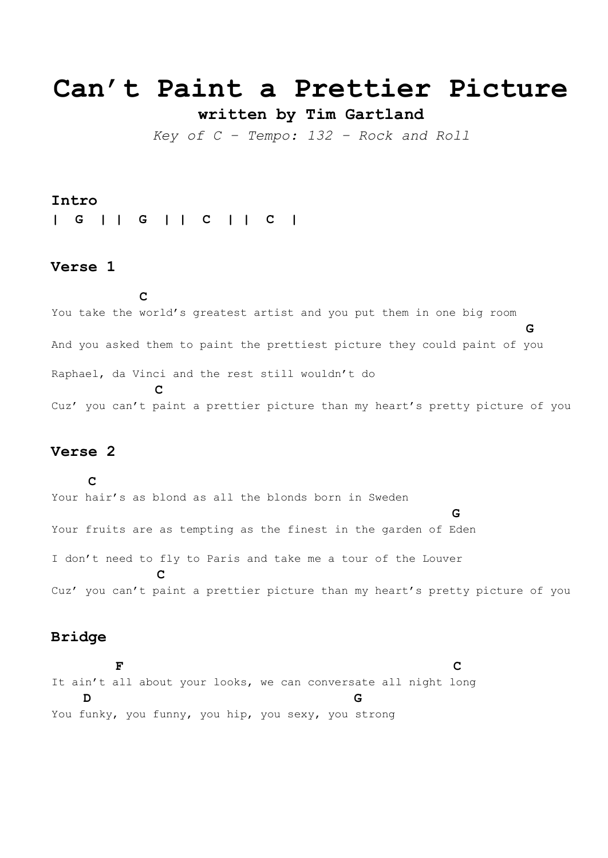# **Can't Paint a Prettier Picture**

**written by Tim Gartland**

*Key of C – Tempo: 132 – Rock and Roll*

#### **Intro**

**| G | | G | | C | | C |**

#### **Verse 1**

**C**

You take the world's greatest artist and you put them in one big room **G** And you asked them to paint the prettiest picture they could paint of you Raphael, da Vinci and the rest still wouldn't do **C** Cuz' you can't paint a prettier picture than my heart's pretty picture of you

# **Verse 2**

**C** Your hair's as blond as all the blonds born in Sweden **G** Your fruits are as tempting as the finest in the garden of Eden I don't need to fly to Paris and take me a tour of the Louver  **C** Cuz' you can't paint a prettier picture than my heart's pretty picture of you

#### **Bridge**

 **F C** It ain't all about your looks, we can conversate all night long  **D G** You funky, you funny, you hip, you sexy, you strong